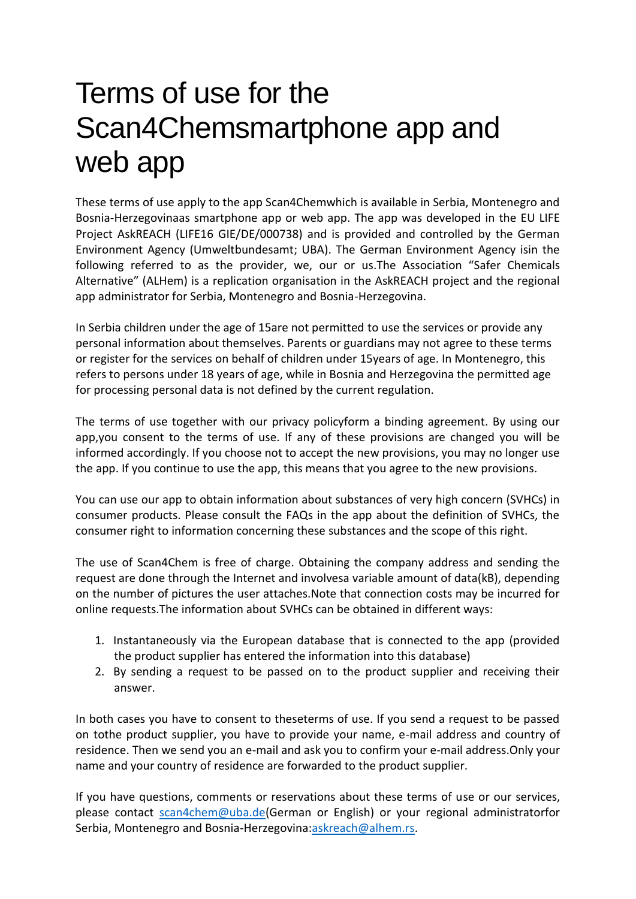# Terms of use for the Scan4Chemsmartphone app and web app

These terms of use apply to the app Scan4Chemwhich is available in Serbia, Montenegro and Bosnia-Herzegovinaas smartphone app or web app. The app was developed in the EU LIFE Project AskREACH (LIFE16 GIE/DE/000738) and is provided and controlled by the German Environment Agency (Umweltbundesamt; UBA). The German Environment Agency isin the following referred to as the provider, we, our or us.The Association "Safer Chemicals Alternative" (ALHem) is a replication organisation in the AskREACH project and the regional app administrator for Serbia, Montenegro and Bosnia-Herzegovina.

In Serbia children under the age of 15are not permitted to use the services or provide any personal information about themselves. Parents or guardians may not agree to these terms or register for the services on behalf of children under 15years of age. In Montenegro, this refers to persons under 18 years of age, while in Bosnia and Herzegovina the permitted age for processing personal data is not defined by the current regulation.

The terms of use together with our privacy policyform a binding agreement. By using our app,you consent to the terms of use. If any of these provisions are changed you will be informed accordingly. If you choose not to accept the new provisions, you may no longer use the app. If you continue to use the app, this means that you agree to the new provisions.

You can use our app to obtain information about substances of very high concern (SVHCs) in consumer products. Please consult the FAQs in the app about the definition of SVHCs, the consumer right to information concerning these substances and the scope of this right.

The use of Scan4Chem is free of charge. Obtaining the company address and sending the request are done through the Internet and involvesa variable amount of data(kB), depending on the number of pictures the user attaches.Note that connection costs may be incurred for online requests.The information about SVHCs can be obtained in different ways:

- 1. Instantaneously via the European database that is connected to the app (provided the product supplier has entered the information into this database)
- 2. By sending a request to be passed on to the product supplier and receiving their answer.

In both cases you have to consent to theseterms of use. If you send a request to be passed on tothe product supplier, you have to provide your name, e-mail address and country of residence. Then we send you an e-mail and ask you to confirm your e-mail address.Only your name and your country of residence are forwarded to the product supplier.

If you have questions, comments or reservations about these terms of use or our services, please contact [scan4chem@uba.de\(](mailto:scan4chem@uba.de)German or English) or your regional administratorfor Serbia, Montenegro and Bosnia-Herzegovina[:askreach@alhem.rs.](mailto:askreach@alhem.rs)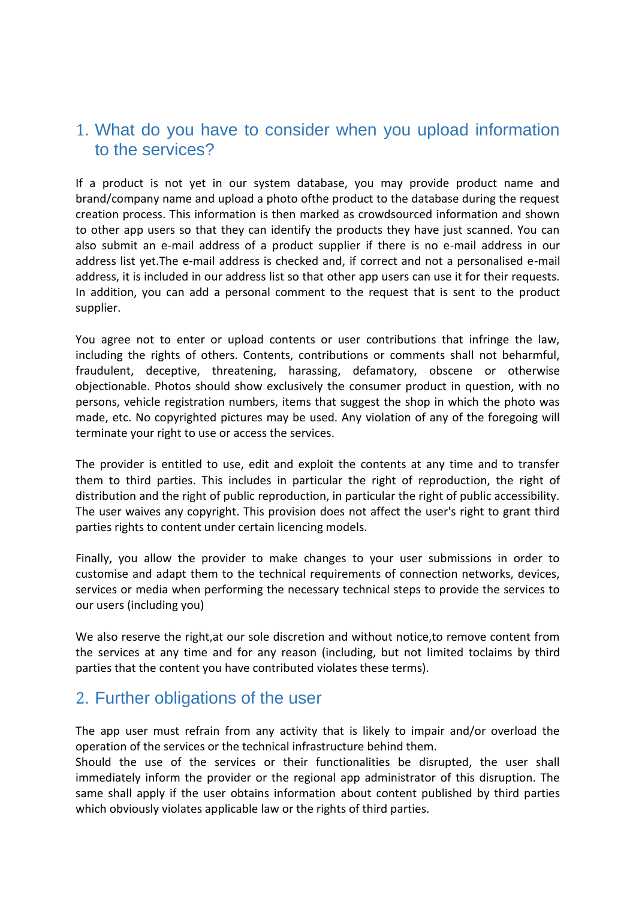#### 1. What do you have to consider when you upload information to the services?

If a product is not yet in our system database, you may provide product name and brand/company name and upload a photo ofthe product to the database during the request creation process. This information is then marked as crowdsourced information and shown to other app users so that they can identify the products they have just scanned. You can also submit an e-mail address of a product supplier if there is no e-mail address in our address list yet.The e-mail address is checked and, if correct and not a personalised e-mail address, it is included in our address list so that other app users can use it for their requests. In addition, you can add a personal comment to the request that is sent to the product supplier.

You agree not to enter or upload contents or user contributions that infringe the law, including the rights of others. Contents, contributions or comments shall not beharmful, fraudulent, deceptive, threatening, harassing, defamatory, obscene or otherwise objectionable. Photos should show exclusively the consumer product in question, with no persons, vehicle registration numbers, items that suggest the shop in which the photo was made, etc. No copyrighted pictures may be used. Any violation of any of the foregoing will terminate your right to use or access the services.

The provider is entitled to use, edit and exploit the contents at any time and to transfer them to third parties. This includes in particular the right of reproduction, the right of distribution and the right of public reproduction, in particular the right of public accessibility. The user waives any copyright. This provision does not affect the user's right to grant third parties rights to content under certain licencing models.

Finally, you allow the provider to make changes to your user submissions in order to customise and adapt them to the technical requirements of connection networks, devices, services or media when performing the necessary technical steps to provide the services to our users (including you)

We also reserve the right,at our sole discretion and without notice,to remove content from the services at any time and for any reason (including, but not limited toclaims by third parties that the content you have contributed violates these terms).

#### 2. Further obligations of the user

The app user must refrain from any activity that is likely to impair and/or overload the operation of the services or the technical infrastructure behind them.

Should the use of the services or their functionalities be disrupted, the user shall immediately inform the provider or the regional app administrator of this disruption. The same shall apply if the user obtains information about content published by third parties which obviously violates applicable law or the rights of third parties.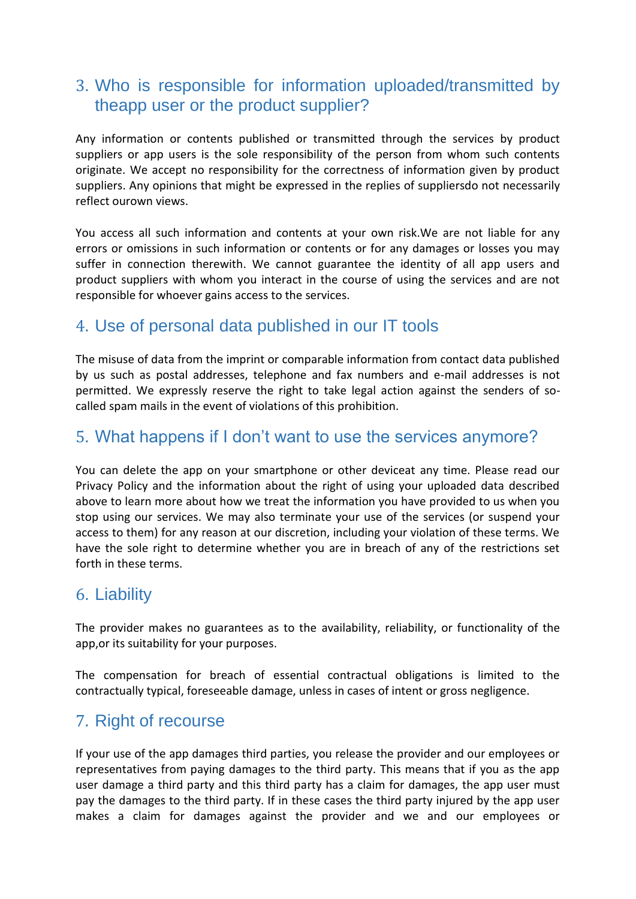# 3. Who is responsible for information uploaded/transmitted by theapp user or the product supplier?

Any information or contents published or transmitted through the services by product suppliers or app users is the sole responsibility of the person from whom such contents originate. We accept no responsibility for the correctness of information given by product suppliers. Any opinions that might be expressed in the replies of suppliersdo not necessarily reflect ourown views.

You access all such information and contents at your own risk.We are not liable for any errors or omissions in such information or contents or for any damages or losses you may suffer in connection therewith. We cannot guarantee the identity of all app users and product suppliers with whom you interact in the course of using the services and are not responsible for whoever gains access to the services.

### 4. Use of personal data published in our IT tools

The misuse of data from the imprint or comparable information from contact data published by us such as postal addresses, telephone and fax numbers and e-mail addresses is not permitted. We expressly reserve the right to take legal action against the senders of socalled spam mails in the event of violations of this prohibition.

# 5. What happens if I don't want to use the services anymore?

You can delete the app on your smartphone or other deviceat any time. Please read our Privacy Policy and the information about the right of using your uploaded data described above to learn more about how we treat the information you have provided to us when you stop using our services. We may also terminate your use of the services (or suspend your access to them) for any reason at our discretion, including your violation of these terms. We have the sole right to determine whether you are in breach of any of the restrictions set forth in these terms.

### 6. Liability

The provider makes no guarantees as to the availability, reliability, or functionality of the app,or its suitability for your purposes.

The compensation for breach of essential contractual obligations is limited to the contractually typical, foreseeable damage, unless in cases of intent or gross negligence.

### 7. Right of recourse

If your use of the app damages third parties, you release the provider and our employees or representatives from paying damages to the third party. This means that if you as the app user damage a third party and this third party has a claim for damages, the app user must pay the damages to the third party. If in these cases the third party injured by the app user makes a claim for damages against the provider and we and our employees or